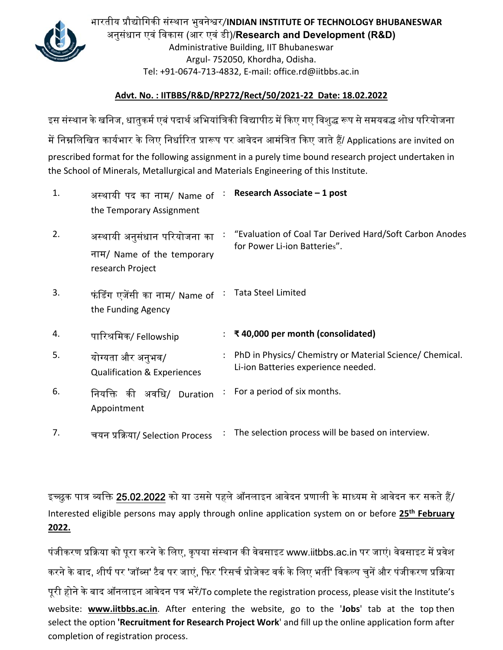

भारतीय पर्ौ᳒ोिगकी संस्थान भुवने᳡र/**INDIAN INSTITUTE OF TECHNOLOGY BHUBANESWAR**  अनुसंधान एवं िवकास (आर एवं डी)/**Research and Development (R&D)**  Administrative Building, IIT Bhubaneswar Argul‐ 752050, Khordha, Odisha. Tel: +91‐0674‐713‐4832, E‐mail: office.rd@iitbbs.ac.in

## **Advt. No. : IITBBS/R&D/RP272/Rect/50/2021‐22 Date: 18.02.2022**

इस संस्थान के खनिज, धातुकर्म एबं पदार्थ अभियांत्रिकी विद्यापीठ में किए गए विशुद्ध रूप से समयबद्ध शोध परियोजना में निम्नलिखित कार्यभार के लिए निर्धारित प्रारूप पर आवेदन आमंत्रित किए जाते हैं/ Applications are invited on prescribed format for the following assignment in a purely time bound research project undertaken in the School of Minerals, Metallurgical and Materials Engineering of this Institute.

| 1. | अस्थायी पद का नाम/ Name of<br>the Temporary Assignment                         | $\mathcal{L}_{\mathcal{C}}$ | Research Associate - 1 post                                                                     |
|----|--------------------------------------------------------------------------------|-----------------------------|-------------------------------------------------------------------------------------------------|
| 2. | अस्थायी अनुसंधान परियोजना का<br>नाम/ Name of the temporary<br>research Project |                             | "Evaluation of Coal Tar Derived Hard/Soft Carbon Anodes<br>for Power Li-ion Batteries".         |
| 3. | फंडिंग एजेंसी का नाम/ Name of<br>the Funding Agency                            |                             | <b>Tata Steel Limited</b>                                                                       |
| 4. | पारिश्रमिक/ Fellowship                                                         |                             | ₹40,000 per month (consolidated)                                                                |
| 5. | योग्यता और अनुभव/<br><b>Qualification &amp; Experiences</b>                    |                             | PhD in Physics/ Chemistry or Material Science/ Chemical.<br>Li-ion Batteries experience needed. |
| 6. | की अर्वाधे/<br>निर्याक्त<br>Duration<br>Appointment                            |                             | For a period of six months.                                                                     |
|    |                                                                                |                             |                                                                                                 |

इच्छुक पात्र व्यक्ति 25.02.2022 को या उससे पहले ऑनलाइन आवेदन प्रणाली के माध्यम से आवेदन कर सकते हैं/ Interested eligible persons may apply through online application system on or before **25th February 2022.** 

पंजीकरण प्रक्रिया को पूरा करने के लिए, कृपया संस्थान की वेबसाइट www.iitbbs.ac.in पर जाएं। वेबसाइट में प्रवेश करने के बाद, शीर्ष पर 'जॉब्स' टैब पर जाएं, फिर 'रिसर्च प्रोजेक्ट वर्क के लिए भर्ती' विकल्प चुनें और पंजीकरण प्रक्रिया पूरी होने के बाद ऑनलाइन आवेदन पत्र भरें/To complete the registration process, please visit the Institute's website: **www.iitbbs.ac.in**. After entering the website, go to the '**Jobs**' tab at the top then select the option **'Recruitment for Research Project Work**' and fill up the online application form after completion of registration process.